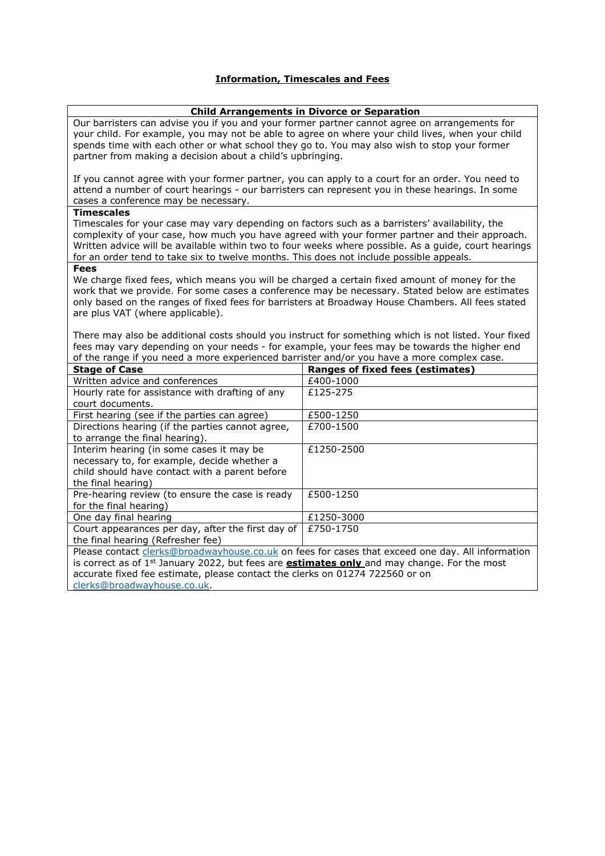# **Information, Timescales and Fees**

## **Child Arrangements in Divorce or Separation**

Our barristers can advise you if you and your former partner cannot agree on arrangements for your child. For example, you may not be able to agree on where your child lives, when your child spends time with each other or what school they go to. You may also wish to stop your former partner from making a decision about a child's upbringing.

If you cannot agree with your former partner, you can apply to a court for an order. You need to attend a number of court hearings - our barristers can represent you in these hearings. In some cases a conference may be necessary.

## **Timescales**

Timescales for your case may vary depending on factors such as a barristers' availability, the complexity of your case, how much you have agreed with your former partner and their approach. Written advice will be available within two to four weeks where possible. As a guide, court hearings for an order tend to take six to twelve months. This does not include possible appeals.

## **Fees**

We charge fixed fees, which means you will be charged a certain fixed amount of money for the work that we provide. For some cases a conference may be necessary. Stated below are estimates only based on the ranges of fixed fees for barristers at Broadway House Chambers. All fees stated are plus VAT (where applicable).

There may also be additional costs should you instruct for something which is not listed. Your fixed fees may vary depending on your needs - for example, your fees may be towards the higher end of the range if you need a more experienced barrister and/or you have a more complex case.

| <b>Stage of Case</b>                                                                                           | <b>Ranges of fixed fees (estimates)</b> |
|----------------------------------------------------------------------------------------------------------------|-----------------------------------------|
| Written advice and conferences                                                                                 | £400-1000                               |
| Hourly rate for assistance with drafting of any                                                                | £125-275                                |
| court documents.                                                                                               |                                         |
| First hearing (see if the parties can agree)                                                                   | £500-1250                               |
| Directions hearing (if the parties cannot agree,                                                               | £700-1500                               |
| to arrange the final hearing).                                                                                 |                                         |
| Interim hearing (in some cases it may be                                                                       | £1250-2500                              |
| necessary to, for example, decide whether a                                                                    |                                         |
| child should have contact with a parent before                                                                 |                                         |
| the final hearing)                                                                                             |                                         |
| Pre-hearing review (to ensure the case is ready                                                                | £500-1250                               |
| for the final hearing)                                                                                         |                                         |
| One day final hearing                                                                                          | £1250-3000                              |
| Court appearances per day, after the first day of                                                              | £750-1750                               |
| the final hearing (Refresher fee)                                                                              |                                         |
| Please contact <i>clerks@broadwayhouse.co.uk</i> on fees for cases that exceed one day. All information        |                                         |
| is correct as of 1 <sup>st</sup> January 2022, but fees are <b>estimates only</b> and may change. For the most |                                         |
| accurate fixed fee estimate, please contact the clerks on 01274 722560 or on                                   |                                         |
| clerks@broadwayhouse.co.uk.                                                                                    |                                         |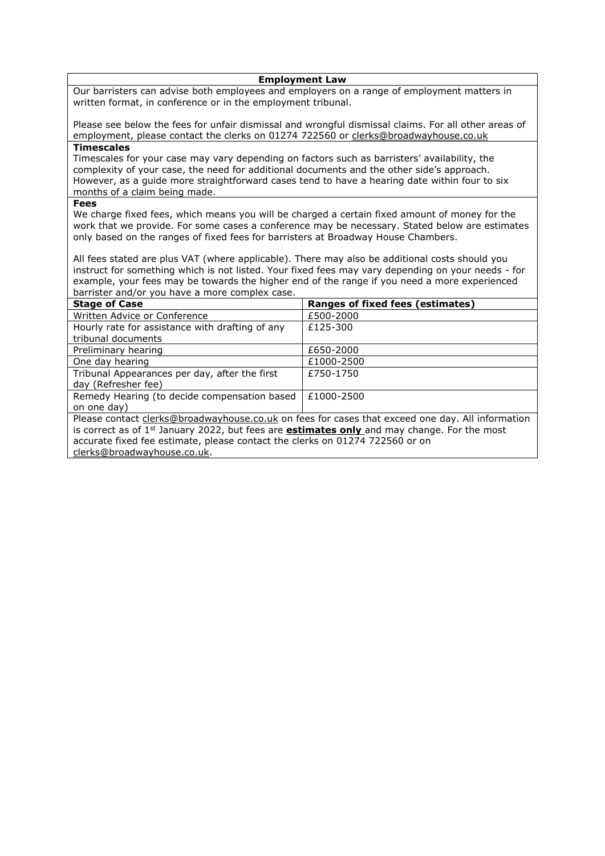#### **Employment Law**

Our barristers can advise both employees and employers on a range of employment matters in written format, in conference or in the employment tribunal.

Please see below the fees for unfair dismissal and wrongful dismissal claims. For all other areas of employment, please contact the clerks on 01274 722560 or [clerks@broadwayhouse.co.uk](mailto:clerks@broadwayhouse.co.uk) **Timescales**

Timescales for your case may vary depending on factors such as barristers' availability, the complexity of your case, the need for additional documents and the other side's approach. However, as a guide more straightforward cases tend to have a hearing date within four to six months of a claim being made.

#### **Fees**

We charge fixed fees, which means you will be charged a certain fixed amount of money for the work that we provide. For some cases a conference may be necessary. Stated below are estimates only based on the ranges of fixed fees for barristers at Broadway House Chambers.

All fees stated are plus VAT (where applicable). There may also be additional costs should you instruct for something which is not listed. Your fixed fees may vary depending on your needs - for example, your fees may be towards the higher end of the range if you need a more experienced barrister and/or you have a more complex case.

| <b>Stage of Case</b>                                                                                 | Ranges of fixed fees (estimates) |
|------------------------------------------------------------------------------------------------------|----------------------------------|
| Written Advice or Conference                                                                         | £500-2000                        |
| Hourly rate for assistance with drafting of any                                                      | £125-300                         |
| tribunal documents                                                                                   |                                  |
| Preliminary hearing                                                                                  | £650-2000                        |
| One day hearing                                                                                      | £1000-2500                       |
| Tribunal Appearances per day, after the first                                                        | £750-1750                        |
| day (Refresher fee)                                                                                  |                                  |
| Remedy Hearing (to decide compensation based                                                         | £1000-2500                       |
| on one day)                                                                                          |                                  |
| Please contact clerks@broadwayhouse.co.uk on fees for cases that exceed one day. All information     |                                  |
| is correct as of $1st$ January 2022, but fees are <b>estimates only</b> and may change. For the most |                                  |
| accurate fixed fee estimate, please contact the clerks on 01274 722560 or on                         |                                  |
|                                                                                                      |                                  |

[clerks@broadwayhouse.co.uk.](mailto:clerks@broadwayhouse.co.uk)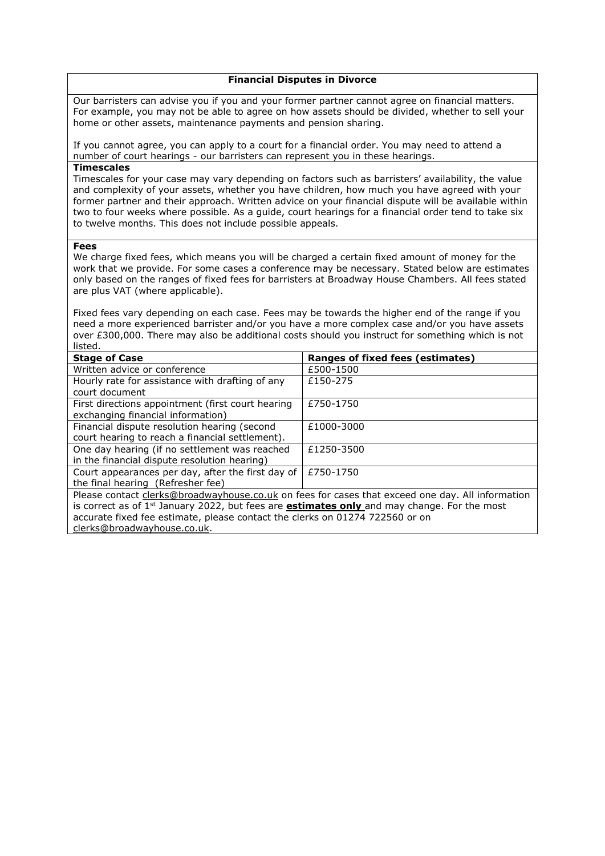#### **Financial Disputes in Divorce**

Our barristers can advise you if you and your former partner cannot agree on financial matters. For example, you may not be able to agree on how assets should be divided, whether to sell your home or other assets, maintenance payments and pension sharing.

If you cannot agree, you can apply to a court for a financial order. You may need to attend a number of court hearings - our barristers can represent you in these hearings.

### **Timescales**

Timescales for your case may vary depending on factors such as barristers' availability, the value and complexity of your assets, whether you have children, how much you have agreed with your former partner and their approach. Written advice on your financial dispute will be available within two to four weeks where possible. As a guide, court hearings for a financial order tend to take six to twelve months. This does not include possible appeals.

#### **Fees**

We charge fixed fees, which means you will be charged a certain fixed amount of money for the work that we provide. For some cases a conference may be necessary. Stated below are estimates only based on the ranges of fixed fees for barristers at Broadway House Chambers. All fees stated are plus VAT (where applicable).

Fixed fees vary depending on each case. Fees may be towards the higher end of the range if you need a more experienced barrister and/or you have a more complex case and/or you have assets over £300,000. There may also be additional costs should you instruct for something which is not listed.

| <b>Stage of Case</b>                                                                                                                                                                                                                                                                                                              | <b>Ranges of fixed fees (estimates)</b> |
|-----------------------------------------------------------------------------------------------------------------------------------------------------------------------------------------------------------------------------------------------------------------------------------------------------------------------------------|-----------------------------------------|
| Written advice or conference                                                                                                                                                                                                                                                                                                      | £500-1500                               |
| Hourly rate for assistance with drafting of any<br>court document                                                                                                                                                                                                                                                                 | £150-275                                |
| First directions appointment (first court hearing<br>exchanging financial information)                                                                                                                                                                                                                                            | £750-1750                               |
| Financial dispute resolution hearing (second<br>court hearing to reach a financial settlement).                                                                                                                                                                                                                                   | £1000-3000                              |
| One day hearing (if no settlement was reached<br>in the financial dispute resolution hearing)                                                                                                                                                                                                                                     | £1250-3500                              |
| Court appearances per day, after the first day of<br>the final hearing (Refresher fee)                                                                                                                                                                                                                                            | £750-1750                               |
| Please contact clerks@broadwayhouse.co.uk on fees for cases that exceed one day. All information<br>is correct as of 1 <sup>st</sup> January 2022, but fees are <b>estimates only</b> and may change. For the most<br>accurate fixed fee estimate, please contact the clerks on 01274 722560 or on<br>clerks@broadwayhouse.co.uk. |                                         |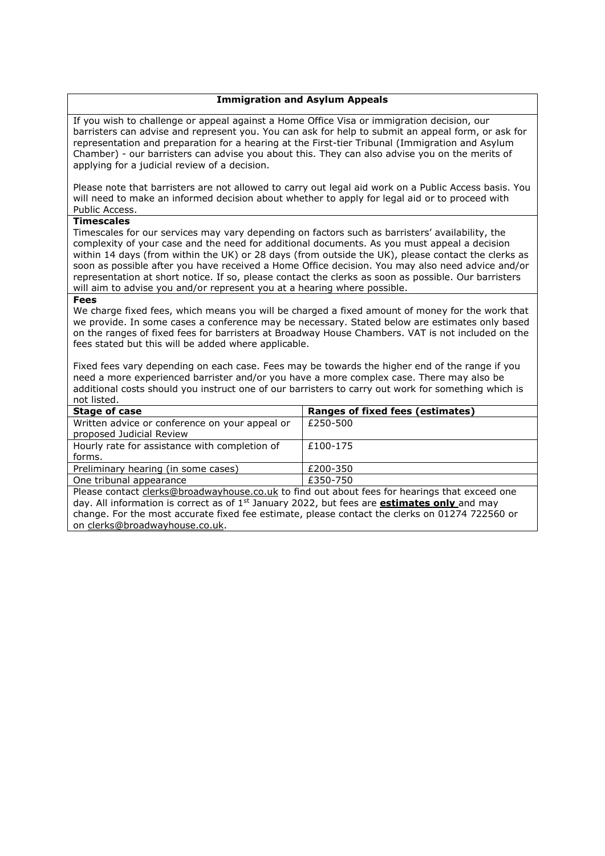### **Immigration and Asylum Appeals**

If you wish to challenge or appeal against a Home Office Visa or immigration decision, our barristers can advise and represent you. You can ask for help to submit an appeal form, or ask for representation and preparation for a hearing at the First-tier Tribunal (Immigration and Asylum Chamber) - our barristers can advise you about this. They can also advise you on the merits of applying for a judicial review of a decision.

Please note that barristers are not allowed to carry out legal aid work on a Public Access basis. You will need to make an informed decision about whether to apply for legal aid or to proceed with Public Access.

### **Timescales**

Timescales for our services may vary depending on factors such as barristers' availability, the complexity of your case and the need for additional documents. As you must appeal a decision within 14 days (from within the UK) or 28 days (from outside the UK), please contact the clerks as soon as possible after you have received a Home Office decision. You may also need advice and/or representation at short notice. If so, please contact the clerks as soon as possible. Our barristers will aim to advise you and/or represent you at a hearing where possible.

#### **Fees**

We charge fixed fees, which means you will be charged a fixed amount of money for the work that we provide. In some cases a conference may be necessary. Stated below are estimates only based on the ranges of fixed fees for barristers at Broadway House Chambers. VAT is not included on the fees stated but this will be added where applicable.

Fixed fees vary depending on each case. Fees may be towards the higher end of the range if you need a more experienced barrister and/or you have a more complex case. There may also be additional costs should you instruct one of our barristers to carry out work for something which is not listed.

| Stage of case                                                                                 | Ranges of fixed fees (estimates) |
|-----------------------------------------------------------------------------------------------|----------------------------------|
| Written advice or conference on your appeal or                                                | £250-500                         |
| proposed Judicial Review                                                                      |                                  |
| Hourly rate for assistance with completion of                                                 | £100-175                         |
| forms.                                                                                        |                                  |
| Preliminary hearing (in some cases)                                                           | £200-350                         |
| One tribunal appearance                                                                       | £350-750                         |
| Please contact clerks@broadwayhouse.co.uk to find out about fees for hearings that exceed one |                                  |

day. All information is correct as of 1st January 2022, but fees are **estimates only** and may change. For the most accurate fixed fee estimate, please contact the clerks on 01274 722560 or on [clerks@broadwayhouse.co.uk.](mailto:clerks@broadwayhouse.co.uk)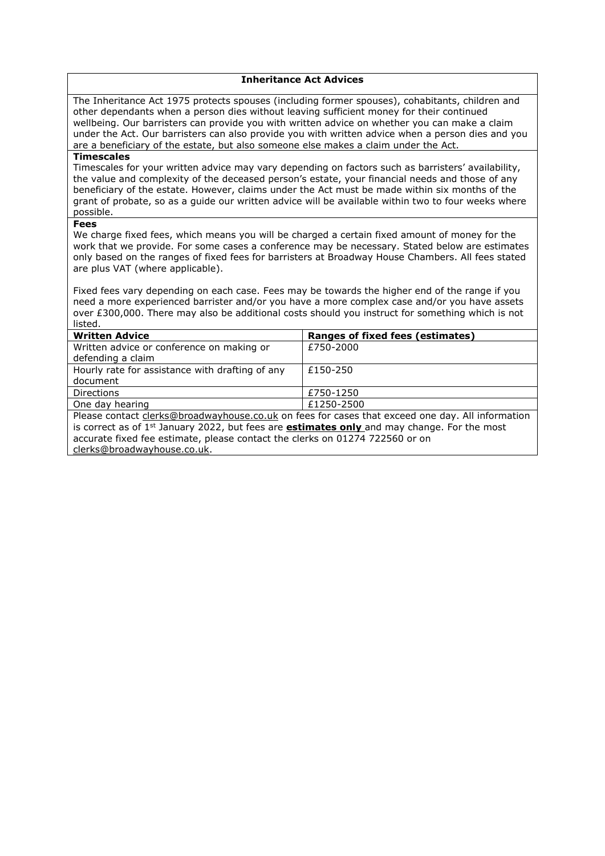### **Inheritance Act Advices**

The Inheritance Act 1975 protects spouses (including former spouses), cohabitants, children and other dependants when a person dies without leaving sufficient money for their continued wellbeing. Our barristers can provide you with written advice on whether you can make a claim under the Act. Our barristers can also provide you with written advice when a person dies and you are a beneficiary of the estate, but also someone else makes a claim under the Act.

#### **Timescales**

Timescales for your written advice may vary depending on factors such as barristers' availability, the value and complexity of the deceased person's estate, your financial needs and those of any beneficiary of the estate. However, claims under the Act must be made within six months of the grant of probate, so as a guide our written advice will be available within two to four weeks where possible.

## **Fees**

We charge fixed fees, which means you will be charged a certain fixed amount of money for the work that we provide. For some cases a conference may be necessary. Stated below are estimates only based on the ranges of fixed fees for barristers at Broadway House Chambers. All fees stated are plus VAT (where applicable).

Fixed fees vary depending on each case. Fees may be towards the higher end of the range if you need a more experienced barrister and/or you have a more complex case and/or you have assets over £300,000. There may also be additional costs should you instruct for something which is not listed.

| <b>Written Advice</b>                                                                                | Ranges of fixed fees (estimates) |
|------------------------------------------------------------------------------------------------------|----------------------------------|
| Written advice or conference on making or                                                            | £750-2000                        |
| defending a claim                                                                                    |                                  |
| Hourly rate for assistance with drafting of any                                                      | £150-250                         |
| document                                                                                             |                                  |
| <b>Directions</b>                                                                                    | £750-1250                        |
| One day hearing                                                                                      | £1250-2500                       |
| Please contact clerks@broadwayhouse.co.uk on fees for cases that exceed one day. All information     |                                  |
| is correct as of $1st$ January 2022, but fees are <b>estimates only</b> and may change. For the most |                                  |
| accurate fixed fee estimate, please contact the clerks on 01274 722560 or on                         |                                  |
|                                                                                                      |                                  |

[clerks@broadwayhouse.co.uk.](mailto:clerks@broadwayhouse.co.uk)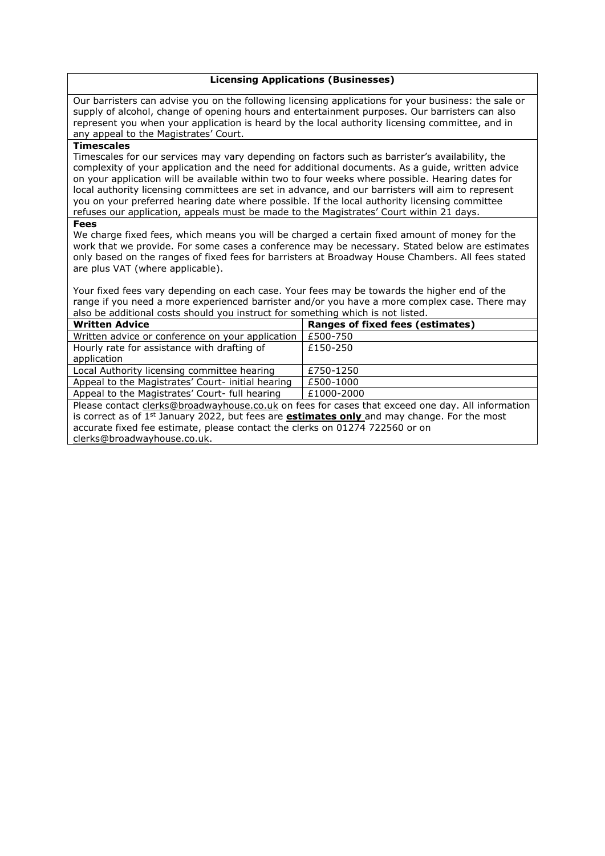### **Licensing Applications (Businesses)**

Our barristers can advise you on the following licensing applications for your business: the sale or supply of alcohol, change of opening hours and entertainment purposes. Our barristers can also represent you when your application is heard by the local authority licensing committee, and in any appeal to the Magistrates' Court.

### **Timescales**

Timescales for our services may vary depending on factors such as barrister's availability, the complexity of your application and the need for additional documents. As a guide, written advice on your application will be available within two to four weeks where possible. Hearing dates for local authority licensing committees are set in advance, and our barristers will aim to represent you on your preferred hearing date where possible. If the local authority licensing committee refuses our application, appeals must be made to the Magistrates' Court within 21 days.

#### **Fees**

We charge fixed fees, which means you will be charged a certain fixed amount of money for the work that we provide. For some cases a conference may be necessary. Stated below are estimates only based on the ranges of fixed fees for barristers at Broadway House Chambers. All fees stated are plus VAT (where applicable).

Your fixed fees vary depending on each case. Your fees may be towards the higher end of the range if you need a more experienced barrister and/or you have a more complex case. There may also be additional costs should you instruct for something which is not listed.

| <b>Written Advice</b>                                                                                | <b>Ranges of fixed fees (estimates)</b> |
|------------------------------------------------------------------------------------------------------|-----------------------------------------|
| Written advice or conference on your application                                                     | £500-750                                |
| Hourly rate for assistance with drafting of                                                          | £150-250                                |
| application                                                                                          |                                         |
| Local Authority licensing committee hearing                                                          | £750-1250                               |
| Appeal to the Magistrates' Court- initial hearing                                                    | £500-1000                               |
| Appeal to the Magistrates' Court- full hearing                                                       | £1000-2000                              |
| Please contact clerks@broadwayhouse.co.uk on fees for cases that exceed one day. All information     |                                         |
| is correct as of $1st$ January 2022, but fees are <b>estimates only</b> and may change. For the most |                                         |
| accurate fixed fee estimate, please contact the clerks on 01274 722560 or on                         |                                         |
| clerks@broadwayhouse.co.uk.                                                                          |                                         |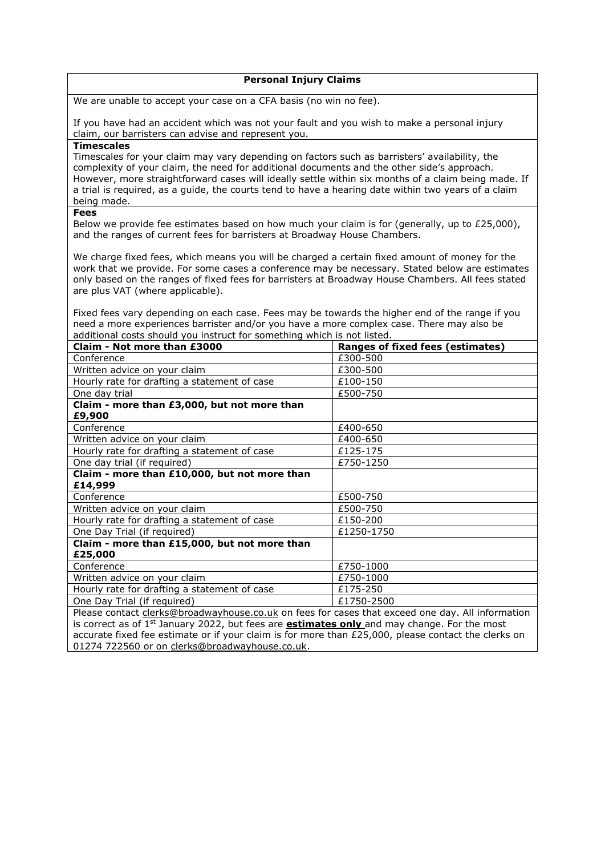### **Personal Injury Claims**

We are unable to accept your case on a CFA basis (no win no fee).

If you have had an accident which was not your fault and you wish to make a personal injury claim, our barristers can advise and represent you.

### **Timescales**

Timescales for your claim may vary depending on factors such as barristers' availability, the complexity of your claim, the need for additional documents and the other side's approach. However, more straightforward cases will ideally settle within six months of a claim being made. If a trial is required, as a guide, the courts tend to have a hearing date within two years of a claim being made.

## **Fees**

Below we provide fee estimates based on how much your claim is for (generally, up to  $£25,000$ ), and the ranges of current fees for barristers at Broadway House Chambers.

We charge fixed fees, which means you will be charged a certain fixed amount of money for the work that we provide. For some cases a conference may be necessary. Stated below are estimates only based on the ranges of fixed fees for barristers at Broadway House Chambers. All fees stated are plus VAT (where applicable).

Fixed fees vary depending on each case. Fees may be towards the higher end of the range if you need a more experiences barrister and/or you have a more complex case. There may also be additional costs should you instruct for something which is not listed.

| Claim - Not more than £3000                                                                      | <b>Ranges of fixed fees (estimates)</b> |
|--------------------------------------------------------------------------------------------------|-----------------------------------------|
| Conference                                                                                       | £300-500                                |
| Written advice on your claim                                                                     | £300-500                                |
| Hourly rate for drafting a statement of case                                                     | £100-150                                |
| One day trial                                                                                    | £500-750                                |
| Claim - more than £3,000, but not more than                                                      |                                         |
| £9,900                                                                                           |                                         |
| Conference                                                                                       | £400-650                                |
| Written advice on your claim                                                                     | £400-650                                |
| Hourly rate for drafting a statement of case                                                     | £125-175                                |
| One day trial (if required)                                                                      | £750-1250                               |
| Claim - more than £10,000, but not more than                                                     |                                         |
| £14,999                                                                                          |                                         |
| Conference                                                                                       | £500-750                                |
| Written advice on your claim                                                                     | £500-750                                |
| Hourly rate for drafting a statement of case                                                     | £150-200                                |
| One Day Trial (if required)                                                                      | £1250-1750                              |
| Claim - more than £15,000, but not more than                                                     |                                         |
| £25,000                                                                                          |                                         |
| Conference                                                                                       | £750-1000                               |
| Written advice on your claim                                                                     | £750-1000                               |
| Hourly rate for drafting a statement of case                                                     | £175-250                                |
| One Day Trial (if required)                                                                      | £1750-2500                              |
| Please contact clerks@broadwayhouse.co.uk on fees for cases that exceed one day. All information |                                         |

is correct as of 1<sup>st</sup> January 2022, but fees are **estimates only** and may change. For the most accurate fixed fee estimate or if your claim is for more than £25,000, please contact the clerks on 01274 722560 or on [clerks@broadwayhouse.co.uk.](mailto:clerks@broadwayhouse.co.uk)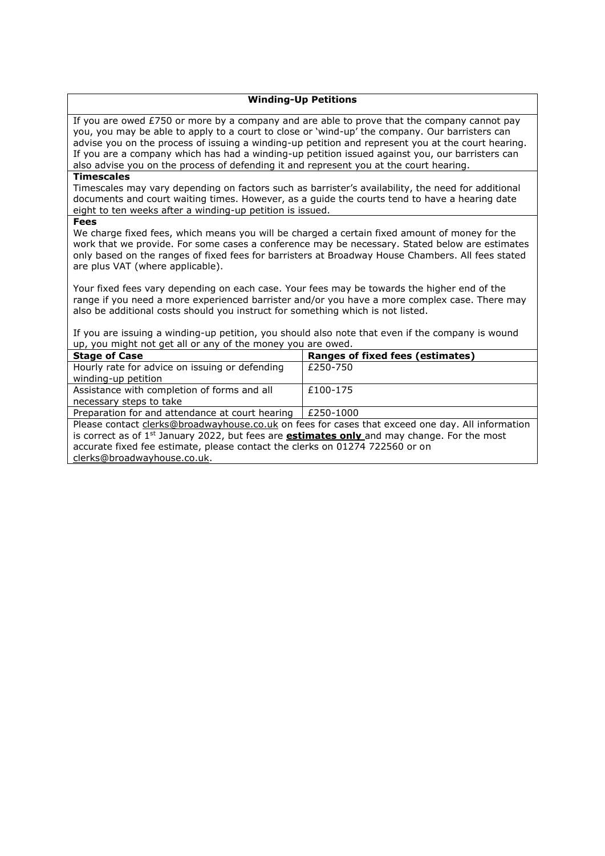### **Winding-Up Petitions**

If you are owed  $E$ 750 or more by a company and are able to prove that the company cannot pay you, you may be able to apply to a court to close or 'wind-up' the company. Our barristers can advise you on the process of issuing a winding-up petition and represent you at the court hearing. If you are a company which has had a winding-up petition issued against you, our barristers can also advise you on the process of defending it and represent you at the court hearing.

#### **Timescales**

Timescales may vary depending on factors such as barrister's availability, the need for additional documents and court waiting times. However, as a guide the courts tend to have a hearing date eight to ten weeks after a winding-up petition is issued.

**Fees**

We charge fixed fees, which means you will be charged a certain fixed amount of money for the work that we provide. For some cases a conference may be necessary. Stated below are estimates only based on the ranges of fixed fees for barristers at Broadway House Chambers. All fees stated are plus VAT (where applicable).

Your fixed fees vary depending on each case. Your fees may be towards the higher end of the range if you need a more experienced barrister and/or you have a more complex case. There may also be additional costs should you instruct for something which is not listed.

If you are issuing a winding-up petition, you should also note that even if the company is wound up, you might not get all or any of the money you are owed.

| <b>Stage of Case</b>                                                                                 | Ranges of fixed fees (estimates) |
|------------------------------------------------------------------------------------------------------|----------------------------------|
| Hourly rate for advice on issuing or defending                                                       | £250-750                         |
| winding-up petition                                                                                  |                                  |
| Assistance with completion of forms and all                                                          | £100-175                         |
| necessary steps to take                                                                              |                                  |
| Preparation for and attendance at court hearing                                                      | £250-1000                        |
| Please contact clerks@broadwayhouse.co.uk on fees for cases that exceed one day. All information     |                                  |
| is correct as of $1st$ January 2022, but fees are <b>estimates only</b> and may change. For the most |                                  |
| accurate fixed fee estimate, please contact the clerks on 01274 722560 or on                         |                                  |

[clerks@broadwayhouse.co.uk.](mailto:clerks@broadwayhouse.co.uk)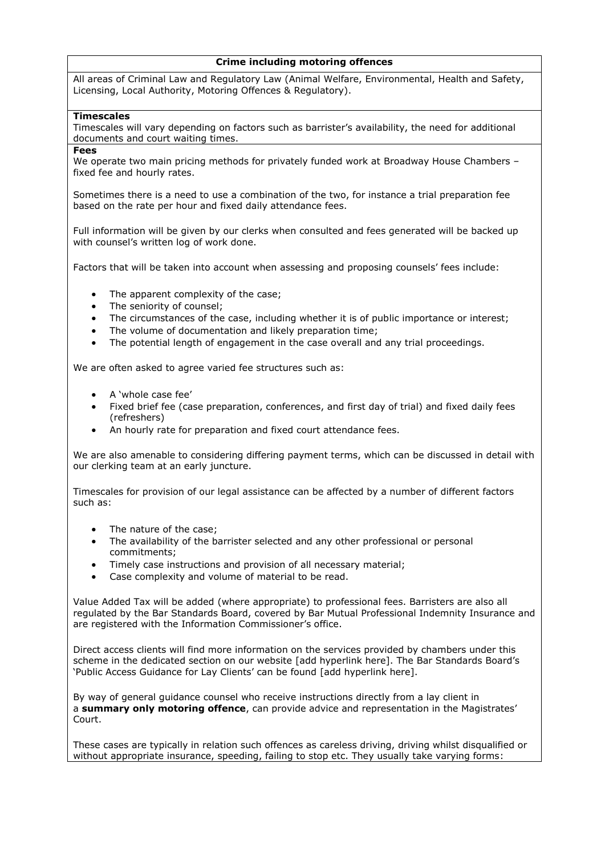## **Crime including motoring offences**

 All areas of Criminal Law and Regulatory Law (Animal Welfare, Environmental, Health and Safety, Licensing, Local Authority, Motoring Offences & Regulatory).

## **Timescales**

Timescales will vary depending on factors such as barrister's availability, the need for additional documents and court waiting times.

**Fees**

We operate two main pricing methods for privately funded work at Broadway House Chambers fixed fee and hourly rates.

Sometimes there is a need to use a combination of the two, for instance a trial preparation fee based on the rate per hour and fixed daily attendance fees.

Full information will be given by our clerks when consulted and fees generated will be backed up with counsel's written log of work done.

Factors that will be taken into account when assessing and proposing counsels' fees include:

- The apparent complexity of the case;
- The seniority of counsel;
- The circumstances of the case, including whether it is of public importance or interest;
- The volume of documentation and likely preparation time;
- The potential length of engagement in the case overall and any trial proceedings.

We are often asked to agree varied fee structures such as:

- A 'whole case fee'
- Fixed brief fee (case preparation, conferences, and first day of trial) and fixed daily fees (refreshers)
- An hourly rate for preparation and fixed court attendance fees.

We are also amenable to considering differing payment terms, which can be discussed in detail with our clerking team at an early juncture.

Timescales for provision of our legal assistance can be affected by a number of different factors such as:

- The nature of the case;
- The availability of the barrister selected and any other professional or personal commitments;
- Timely case instructions and provision of all necessary material;
- Case complexity and volume of material to be read.

Value Added Tax will be added (where appropriate) to professional fees. Barristers are also all regulated by the Bar Standards Board, covered by Bar Mutual Professional Indemnity Insurance and are registered with the Information Commissioner's office.

Direct access clients will find more information on the services provided by chambers under this scheme in the dedicated section on our website [add hyperlink here]. The Bar Standards Board's 'Public Access Guidance for Lay Clients' can be found [add hyperlink here].

By way of general guidance counsel who receive instructions directly from a lay client in a **summary only motoring offence**, can provide advice and representation in the Magistrates' Court.

These cases are typically in relation such offences as careless driving, driving whilst disqualified or without appropriate insurance, speeding, failing to stop etc. They usually take varying forms: